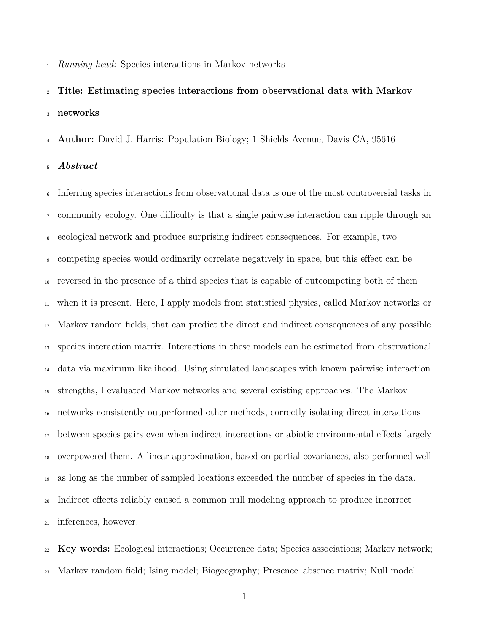*Running head:* Species interactions in Markov networks

 **Title: Estimating species interactions from observational data with Markov networks**

**Author:** David J. Harris: Population Biology; 1 Shields Avenue, Davis CA, 95616

*Abstract*

 Inferring species interactions from observational data is one of the most controversial tasks in  $\tau$  community ecology. One difficulty is that a single pairwise interaction can ripple through an ecological network and produce surprising indirect consequences. For example, two • competing species would ordinarily correlate negatively in space, but this effect can be reversed in the presence of a third species that is capable of outcompeting both of them when it is present. Here, I apply models from statistical physics, called Markov networks or Markov random fields, that can predict the direct and indirect consequences of any possible species interaction matrix. Interactions in these models can be estimated from observational data via maximum likelihood. Using simulated landscapes with known pairwise interaction strengths, I evaluated Markov networks and several existing approaches. The Markov networks consistently outperformed other methods, correctly isolating direct interactions <sup>17</sup> between species pairs even when indirect interactions or abiotic environmental effects largely overpowered them. A linear approximation, based on partial covariances, also performed well as long as the number of sampled locations exceeded the number of species in the data. <sup>20</sup> Indirect effects reliably caused a common null modeling approach to produce incorrect inferences, however.

 **Key words:** Ecological interactions; Occurrence data; Species associations; Markov network; Markov random field; Ising model; Biogeography; Presence–absence matrix; Null model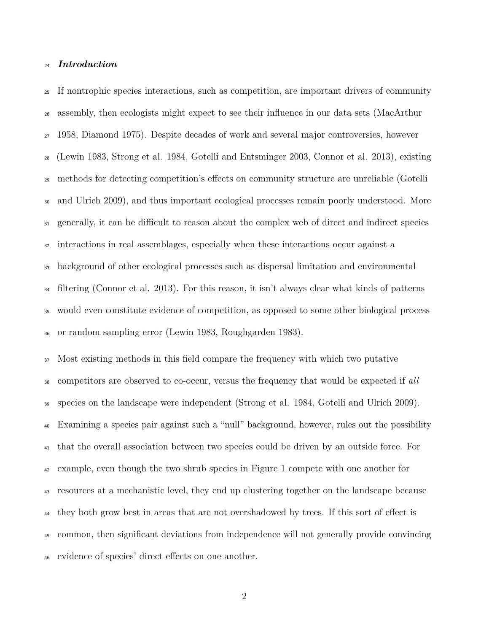## *Introduction*

 If nontrophic species interactions, such as competition, are important drivers of community assembly, then ecologists might expect to see their influence in our data sets (MacArthur 1958, Diamond 1975). Despite decades of work and several major controversies, however (Lewin 1983, Strong et al. 1984, Gotelli and Entsminger 2003, Connor et al. 2013), existing <sup>29</sup> methods for detecting competition's effects on community structure are unreliable (Gotelli and Ulrich 2009), and thus important ecological processes remain poorly understood. More <sup>31</sup> generally, it can be difficult to reason about the complex web of direct and indirect species interactions in real assemblages, especially when these interactions occur against a background of other ecological processes such as dispersal limitation and environmental filtering (Connor et al. 2013). For this reason, it isn't always clear what kinds of patterns would even constitute evidence of competition, as opposed to some other biological process or random sampling error (Lewin 1983, Roughgarden 1983).

 Most existing methods in this field compare the frequency with which two putative competitors are observed to co-occur, versus the frequency that would be expected if *all* species on the landscape were independent (Strong et al. 1984, Gotelli and Ulrich 2009). Examining a species pair against such a "null" background, however, rules out the possibility that the overall association between two species could be driven by an outside force. For example, even though the two shrub species in Figure 1 compete with one another for resources at a mechanistic level, they end up clustering together on the landscape because <sup>44</sup> they both grow best in areas that are not overshadowed by trees. If this sort of effect is common, then significant deviations from independence will not generally provide convincing 46 evidence of species' direct effects on one another.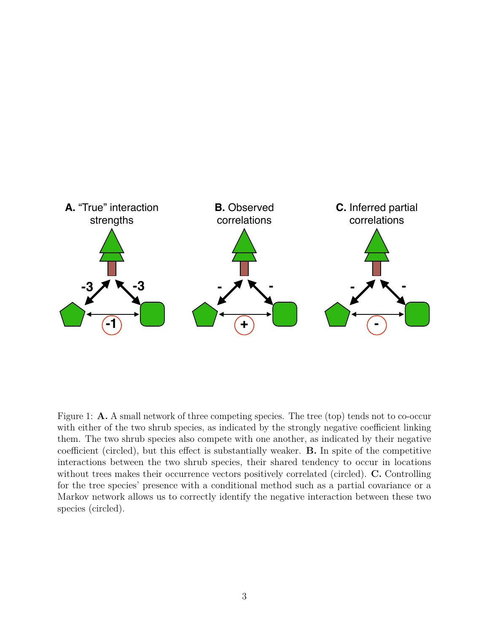

Figure 1: **A.** A small network of three competing species. The tree (top) tends not to co-occur with either of the two shrub species, as indicated by the strongly negative coefficient linking them. The two shrub species also compete with one another, as indicated by their negative coefficient (circled), but this effect is substantially weaker. **B.** In spite of the competitive interactions between the two shrub species, their shared tendency to occur in locations without trees makes their occurrence vectors positively correlated (circled). **C.** Controlling for the tree species' presence with a conditional method such as a partial covariance or a Markov network allows us to correctly identify the negative interaction between these two species (circled).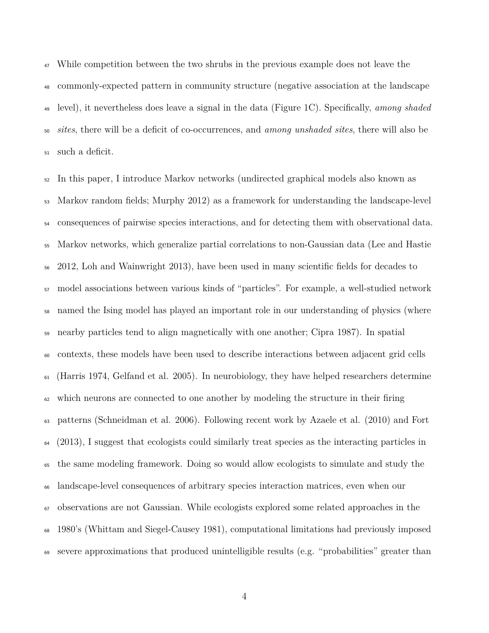While competition between the two shrubs in the previous example does not leave the commonly-expected pattern in community structure (negative association at the landscape level), it nevertheless does leave a signal in the data (Figure 1C). Specifically, *among shaded sites*, there will be a deficit of co-occurrences, and *among unshaded sites*, there will also be such a deficit.

 In this paper, I introduce Markov networks (undirected graphical models also known as Markov random fields; Murphy 2012) as a framework for understanding the landscape-level consequences of pairwise species interactions, and for detecting them with observational data. Markov networks, which generalize partial correlations to non-Gaussian data (Lee and Hastie 2012, Loh and Wainwright 2013), have been used in many scientific fields for decades to model associations between various kinds of "particles". For example, a well-studied network named the Ising model has played an important role in our understanding of physics (where nearby particles tend to align magnetically with one another; Cipra 1987). In spatial contexts, these models have been used to describe interactions between adjacent grid cells (Harris 1974, Gelfand et al. 2005). In neurobiology, they have helped researchers determine which neurons are connected to one another by modeling the structure in their firing patterns (Schneidman et al. 2006). Following recent work by Azaele et al. (2010) and Fort (2013), I suggest that ecologists could similarly treat species as the interacting particles in the same modeling framework. Doing so would allow ecologists to simulate and study the landscape-level consequences of arbitrary species interaction matrices, even when our observations are not Gaussian. While ecologists explored some related approaches in the 1980's (Whittam and Siegel-Causey 1981), computational limitations had previously imposed severe approximations that produced unintelligible results (e.g. "probabilities" greater than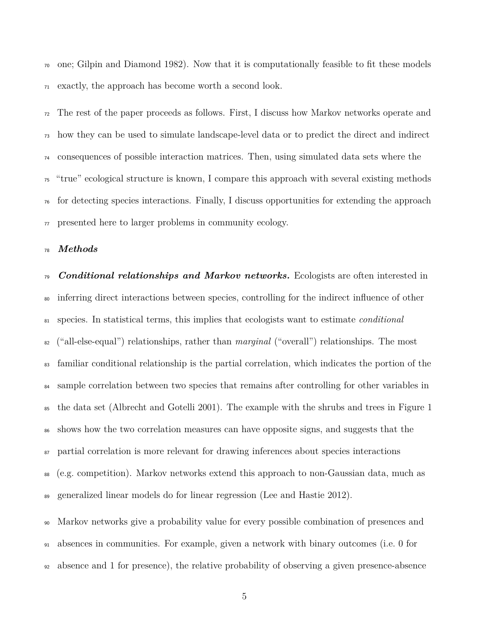one; Gilpin and Diamond 1982). Now that it is computationally feasible to fit these models exactly, the approach has become worth a second look.

 The rest of the paper proceeds as follows. First, I discuss how Markov networks operate and how they can be used to simulate landscape-level data or to predict the direct and indirect consequences of possible interaction matrices. Then, using simulated data sets where the "true" ecological structure is known, I compare this approach with several existing methods for detecting species interactions. Finally, I discuss opportunities for extending the approach presented here to larger problems in community ecology.

#### *Methods*

 *Conditional relationships and Markov networks.* Ecologists are often interested in inferring direct interactions between species, controlling for the indirect influence of other species. In statistical terms, this implies that ecologists want to estimate *conditional* ("all-else-equal") relationships, rather than *marginal* ("overall") relationships. The most familiar conditional relationship is the partial correlation, which indicates the portion of the 84 sample correlation between two species that remains after controlling for other variables in the data set (Albrecht and Gotelli 2001). The example with the shrubs and trees in Figure 1 shows how the two correlation measures can have opposite signs, and suggests that the partial correlation is more relevant for drawing inferences about species interactions (e.g. competition). Markov networks extend this approach to non-Gaussian data, much as generalized linear models do for linear regression (Lee and Hastie 2012).

 Markov networks give a probability value for every possible combination of presences and absences in communities. For example, given a network with binary outcomes (i.e. 0 for absence and 1 for presence), the relative probability of observing a given presence-absence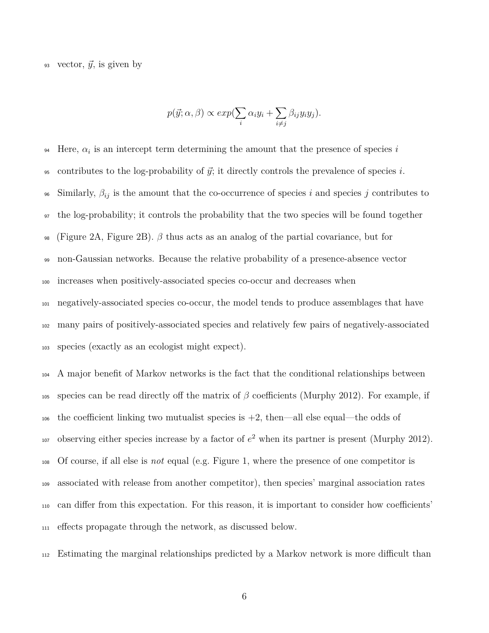93 vector,  $\vec{y}$ , is given by

$$
p(\vec{y}; \alpha, \beta) \propto exp(\sum_{i} \alpha_i y_i + \sum_{i \neq j} \beta_{ij} y_i y_j).
$$

 $\mu$  Here,  $\alpha_i$  is an intercept term determining the amount that the presence of species *i* 95 contributes to the log-probability of  $\vec{y}$ ; it directly controls the prevalence of species *i*. <sup>96</sup> Similarly,  $\beta_{ij}$  is the amount that the co-occurrence of species *i* and species *j* contributes to <sup>97</sup> the log-probability; it controls the probability that the two species will be found together <sup>98</sup> (Figure 2A, Figure 2B).  $\beta$  thus acts as an analog of the partial covariance, but for <sup>99</sup> non-Gaussian networks. Because the relative probability of a presence-absence vector <sup>100</sup> increases when positively-associated species co-occur and decreases when <sup>101</sup> negatively-associated species co-occur, the model tends to produce assemblages that have <sup>102</sup> many pairs of positively-associated species and relatively few pairs of negatively-associated <sup>103</sup> species (exactly as an ecologist might expect).

<sup>104</sup> A major benefit of Markov networks is the fact that the conditional relationships between 105 species can be read directly off the matrix of  $\beta$  coefficients (Murphy 2012). For example, if  $106$  the coefficient linking two mutualist species is  $+2$ , then—all else equal—the odds of tor observing either species increase by a factor of  $e^2$  when its partner is present (Murphy 2012). <sup>108</sup> Of course, if all else is *not* equal (e.g. Figure 1, where the presence of one competitor is <sup>109</sup> associated with release from another competitor), then species' marginal association rates 110 can differ from this expectation. For this reason, it is important to consider how coefficients' 111 effects propagate through the network, as discussed below.

<sup>112</sup> Estimating the marginal relationships predicted by a Markov network is more dicult than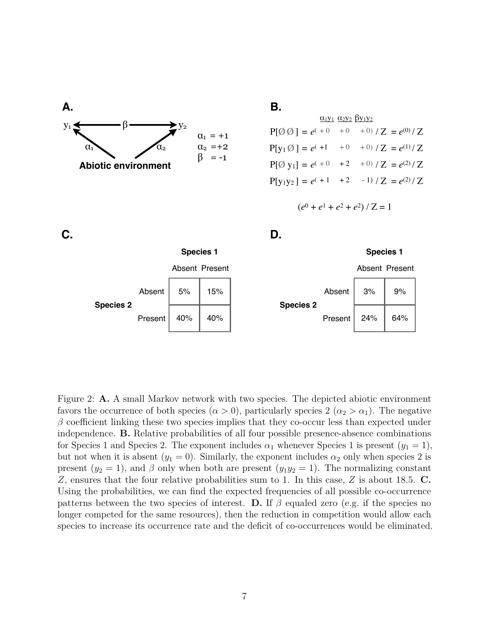

# **B.**

|                                                              |  | $\alpha_1y_1 \alpha_2y_2 \beta y_1y_2$ |  |
|--------------------------------------------------------------|--|----------------------------------------|--|
| $P[\emptyset\emptyset] = e^{(+0 + 0 + 0 + 0)}/Z = e^{(0)}/Z$ |  |                                        |  |
|                                                              |  |                                        |  |
| $P[\emptyset y_1] = e^{(+0)} +2 +0)/Z = e^{(2)}/Z$           |  |                                        |  |
| $P[y_1y_2] = e^{(-1) + 2 - 1} / Z = e^{(2)}/Z$               |  |                                        |  |

$$
(e^0 + e^1 + e^2 + e^2) / Z = 1
$$



Figure 2: **A.** A small Markov network with two species. The depicted abiotic environment favors the occurrence of both species  $(\alpha > 0)$ , particularly species  $2 (\alpha_2 > \alpha_1)$ . The negative  $\beta$  coefficient linking these two species implies that they co-occur less than expected under independence. **B.** Relative probabilities of all four possible presence-absence combinations for Species 1 and Species 2. The exponent includes  $\alpha_1$  whenever Species 1 is present  $(y_1 = 1)$ , but not when it is absent  $(y_1 = 0)$ . Similarly, the exponent includes  $\alpha_2$  only when species 2 is present  $(y_2 = 1)$ , and  $\beta$  only when both are present  $(y_1y_2 = 1)$ . The normalizing constant *Z*, ensures that the four relative probabilities sum to 1. In this case, *Z* is about 18.5. **C.** Using the probabilities, we can find the expected frequencies of all possible co-occurrence patterns between the two species of interest. **D.** If  $\beta$  equaled zero (e.g. if the species no longer competed for the same resources), then the reduction in competition would allow each species to increase its occurrence rate and the deficit of co-occurrences would be eliminated.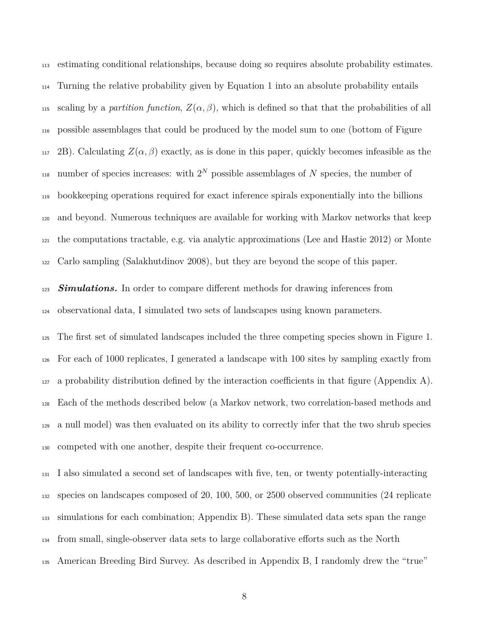estimating conditional relationships, because doing so requires absolute probability estimates. Turning the relative probability given by Equation 1 into an absolute probability entails 115 scaling by a *partition function*,  $Z(\alpha, \beta)$ , which is defined so that that the probabilities of all possible assemblages that could be produced by the model sum to one (bottom of Figure  $_{117}$  2B). Calculating  $Z(\alpha, \beta)$  exactly, as is done in this paper, quickly becomes infeasible as the number of species increases: with  $2^N$  possible assemblages of *N* species, the number of bookkeeping operations required for exact inference spirals exponentially into the billions and beyond. Numerous techniques are available for working with Markov networks that keep the computations tractable, e.g. via analytic approximations (Lee and Hastie 2012) or Monte Carlo sampling (Salakhutdinov 2008), but they are beyond the scope of this paper.

**Simulations.** In order to compare different methods for drawing inferences from observational data, I simulated two sets of landscapes using known parameters.

 The first set of simulated landscapes included the three competing species shown in Figure 1. For each of 1000 replicates, I generated a landscape with 100 sites by sampling exactly from a probability distribution defined by the interaction coefficients in that figure (Appendix A). Each of the methods described below (a Markov network, two correlation-based methods and a null model) was then evaluated on its ability to correctly infer that the two shrub species competed with one another, despite their frequent co-occurrence.

 I also simulated a second set of landscapes with five, ten, or twenty potentially-interacting species on landscapes composed of 20, 100, 500, or 2500 observed communities (24 replicate simulations for each combination; Appendix B). These simulated data sets span the range  $_{134}$  from small, single-observer data sets to large collaborative efforts such as the North American Breeding Bird Survey. As described in Appendix B, I randomly drew the "true"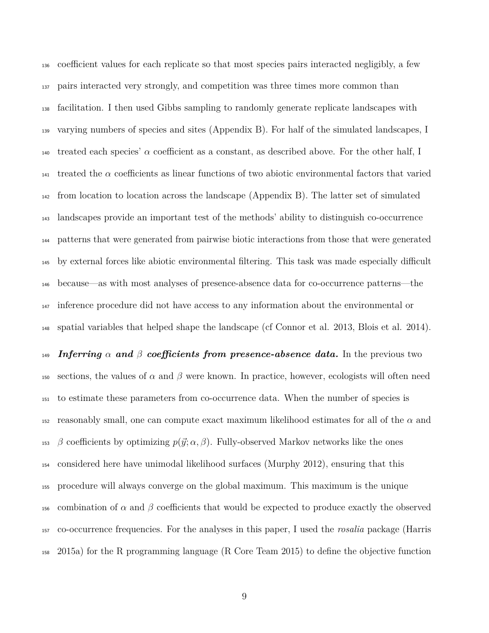<sup>136</sup> coefficient values for each replicate so that most species pairs interacted negligibly, a few pairs interacted very strongly, and competition was three times more common than facilitation. I then used Gibbs sampling to randomly generate replicate landscapes with varying numbers of species and sites (Appendix B). For half of the simulated landscapes, I treated each species'  $\alpha$  coefficient as a constant, as described above. For the other half, I  $_{141}$  treated the  $\alpha$  coefficients as linear functions of two abiotic environmental factors that varied from location to location across the landscape (Appendix B). The latter set of simulated landscapes provide an important test of the methods' ability to distinguish co-occurrence patterns that were generated from pairwise biotic interactions from those that were generated <sup>145</sup> by external forces like abiotic environmental filtering. This task was made especially difficult because—as with most analyses of presence-absence data for co-occurrence patterns—the inference procedure did not have access to any information about the environmental or spatial variables that helped shape the landscape (cf Connor et al. 2013, Blois et al. 2014).

 *Inferring*  $\alpha$  *and*  $\beta$  *coefficients from presence-absence data.* In the previous two 150 sections, the values of  $\alpha$  and  $\beta$  were known. In practice, however, ecologists will often need to estimate these parameters from co-occurrence data. When the number of species is 152 reasonably small, one can compute exact maximum likelihood estimates for all of the  $\alpha$  and *B* coefficients by optimizing  $p(\vec{y}; \alpha, \beta)$ . Fully-observed Markov networks like the ones considered here have unimodal likelihood surfaces (Murphy 2012), ensuring that this procedure will always converge on the global maximum. This maximum is the unique 156 combination of  $\alpha$  and  $\beta$  coefficients that would be expected to produce exactly the observed co-occurrence frequencies. For the analyses in this paper, I used the *rosalia* package (Harris 2015a) for the R programming language (R Core Team 2015) to define the objective function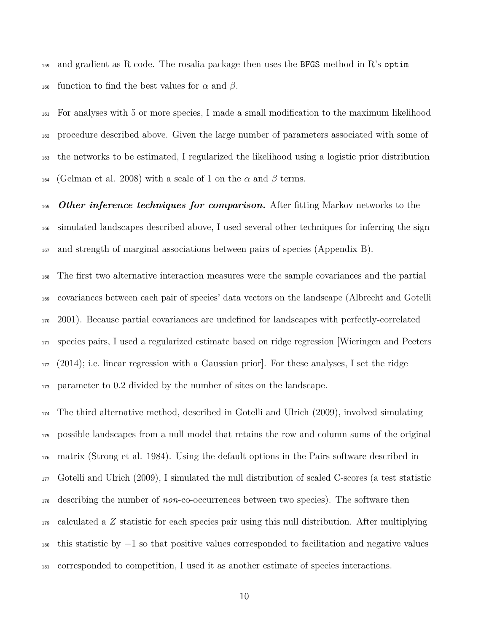159 and gradient as R code. The rosalia package then uses the BFGS method in R's optim 160 function to find the best values for  $\alpha$  and  $\beta$ .

 For analyses with 5 or more species, I made a small modification to the maximum likelihood procedure described above. Given the large number of parameters associated with some of the networks to be estimated, I regularized the likelihood using a logistic prior distribution 164 (Gelman et al. 2008) with a scale of 1 on the  $\alpha$  and  $\beta$  terms.

 *Other inference techniques for comparison.* After fitting Markov networks to the simulated landscapes described above, I used several other techniques for inferring the sign and strength of marginal associations between pairs of species (Appendix B).

 The first two alternative interaction measures were the sample covariances and the partial covariances between each pair of species' data vectors on the landscape (Albrecht and Gotelli 2001). Because partial covariances are undefined for landscapes with perfectly-correlated species pairs, I used a regularized estimate based on ridge regression [Wieringen and Peeters (2014); i.e. linear regression with a Gaussian prior]. For these analyses, I set the ridge parameter to 0.2 divided by the number of sites on the landscape.

 The third alternative method, described in Gotelli and Ulrich (2009), involved simulating possible landscapes from a null model that retains the row and column sums of the original matrix (Strong et al. 1984). Using the default options in the Pairs software described in Gotelli and Ulrich (2009), I simulated the null distribution of scaled C-scores (a test statistic describing the number of *non*-co-occurrences between two species). The software then calculated a *Z* statistic for each species pair using this null distribution. After multiplying  $_{180}$  this statistic by  $-1$  so that positive values corresponded to facilitation and negative values corresponded to competition, I used it as another estimate of species interactions.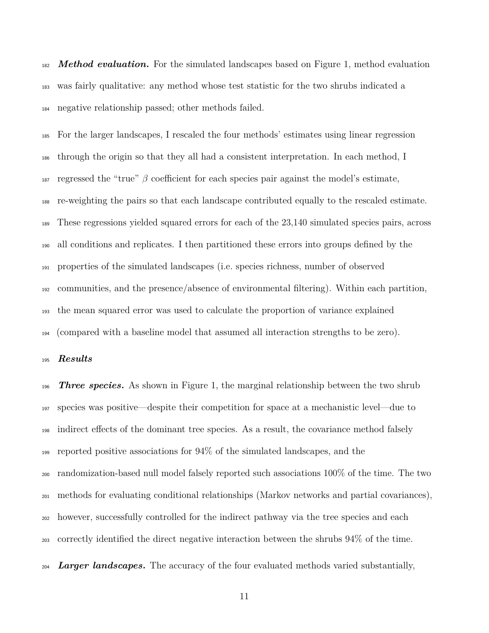*Method evaluation.* For the simulated landscapes based on Figure 1, method evaluation was fairly qualitative: any method whose test statistic for the two shrubs indicated a negative relationship passed; other methods failed.

 For the larger landscapes, I rescaled the four methods' estimates using linear regression through the origin so that they all had a consistent interpretation. In each method, I <sup>187</sup> regressed the "true"  $\beta$  coefficient for each species pair against the model's estimate, re-weighting the pairs so that each landscape contributed equally to the rescaled estimate. These regressions yielded squared errors for each of the 23,140 simulated species pairs, across all conditions and replicates. I then partitioned these errors into groups defined by the properties of the simulated landscapes (i.e. species richness, number of observed communities, and the presence/absence of environmental filtering). Within each partition, the mean squared error was used to calculate the proportion of variance explained (compared with a baseline model that assumed all interaction strengths to be zero).

## *Results*

 *Three species.* As shown in Figure 1, the marginal relationship between the two shrub species was positive—despite their competition for space at a mechanistic level—due to <sup>198</sup> indirect effects of the dominant tree species. As a result, the covariance method falsely reported positive associations for 94% of the simulated landscapes, and the randomization-based null model falsely reported such associations 100% of the time. The two methods for evaluating conditional relationships (Markov networks and partial covariances), however, successfully controlled for the indirect pathway via the tree species and each correctly identified the direct negative interaction between the shrubs 94% of the time.

<sub>204</sub> *Larger landscapes.* The accuracy of the four evaluated methods varied substantially,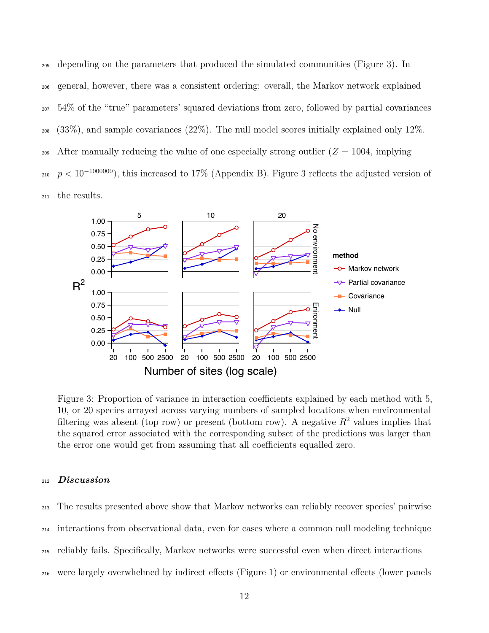depending on the parameters that produced the simulated communities (Figure 3). In general, however, there was a consistent ordering: overall, the Markov network explained 54% of the "true" parameters' squared deviations from zero, followed by partial covariances (33%), and sample covariances (22%). The null model scores initially explained only 12%. 209 After manually reducing the value of one especially strong outlier  $(Z = 1004$ , implying <sup>210</sup>  $p < 10^{-1000000}$ , this increased to 17% (Appendix B). Figure 3 reflects the adjusted version of the results.



Figure 3: Proportion of variance in interaction coefficients explained by each method with 5, 10, or 20 species arrayed across varying numbers of sampled locations when environmental filtering was absent (top row) or present (bottom row). A negative  $R^2$  values implies that the squared error associated with the corresponding subset of the predictions was larger than the error one would get from assuming that all coefficients equalled zero.

#### <sup>212</sup> *Discussion*

<sup>213</sup> The results presented above show that Markov networks can reliably recover species' pairwise <sup>214</sup> interactions from observational data, even for cases where a common null modeling technique <sup>215</sup> reliably fails. Specifically, Markov networks were successful even when direct interactions

216 were largely overwhelmed by indirect effects (Figure 1) or environmental effects (lower panels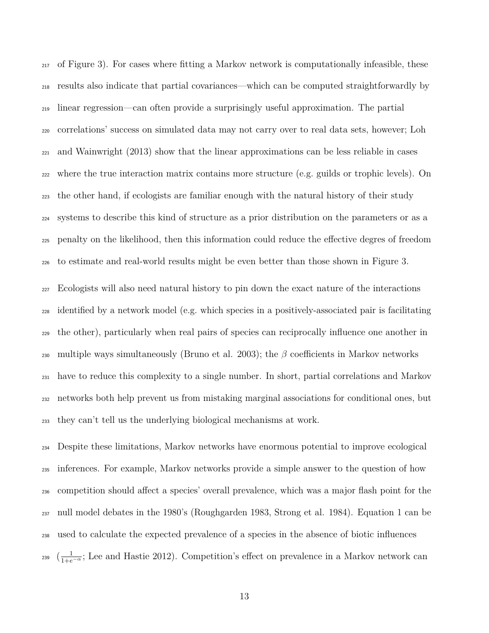of Figure 3). For cases where fitting a Markov network is computationally infeasible, these results also indicate that partial covariances—which can be computed straightforwardly by linear regression—can often provide a surprisingly useful approximation. The partial correlations' success on simulated data may not carry over to real data sets, however; Loh and Wainwright (2013) show that the linear approximations can be less reliable in cases where the true interaction matrix contains more structure (e.g. guilds or trophic levels). On the other hand, if ecologists are familiar enough with the natural history of their study systems to describe this kind of structure as a prior distribution on the parameters or as a <sub>225</sub> penalty on the likelihood, then this information could reduce the effective degres of freedom to estimate and real-world results might be even better than those shown in Figure 3. Ecologists will also need natural history to pin down the exact nature of the interactions identified by a network model (e.g. which species in a positively-associated pair is facilitating the other), particularly when real pairs of species can reciprocally influence one another in

230 multiple ways simultaneously (Bruno et al. 2003); the  $\beta$  coefficients in Markov networks have to reduce this complexity to a single number. In short, partial correlations and Markov networks both help prevent us from mistaking marginal associations for conditional ones, but they can't tell us the underlying biological mechanisms at work.

 Despite these limitations, Markov networks have enormous potential to improve ecological inferences. For example, Markov networks provide a simple answer to the question of how <sub>236</sub> competition should affect a species' overall prevalence, which was a major flash point for the null model debates in the 1980's (Roughgarden 1983, Strong et al. 1984). Equation 1 can be used to calculate the expected prevalence of a species in the absence of biotic influences <sup>239</sup>  $\left(\frac{1}{1+e^{-\alpha}}\right)$ ; Lee and Hastie 2012). Competition's effect on prevalence in a Markov network can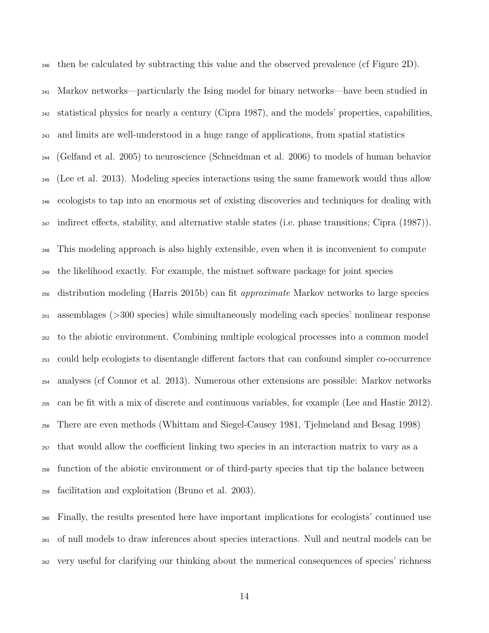then be calculated by subtracting this value and the observed prevalence (cf Figure 2D).

 Markov networks—particularly the Ising model for binary networks—have been studied in statistical physics for nearly a century (Cipra 1987), and the models' properties, capabilities, and limits are well-understood in a huge range of applications, from spatial statistics (Gelfand et al. 2005) to neuroscience (Schneidman et al. 2006) to models of human behavior (Lee et al. 2013). Modeling species interactions using the same framework would thus allow ecologists to tap into an enormous set of existing discoveries and techniques for dealing with  $_{247}$  indirect effects, stability, and alternative stable states (i.e. phase transitions; Cipra (1987)). This modeling approach is also highly extensible, even when it is inconvenient to compute the likelihood exactly. For example, the mistnet software package for joint species distribution modeling (Harris 2015b) can fit *approximate* Markov networks to large species assemblages (>300 species) while simultaneously modeling each species' nonlinear response to the abiotic environment. Combining multiple ecological processes into a common model <sub>253</sub> could help ecologists to disentangle different factors that can confound simpler co-occurrence analyses (cf Connor et al. 2013). Numerous other extensions are possible: Markov networks can be fit with a mix of discrete and continuous variables, for example (Lee and Hastie 2012). There are even methods (Whittam and Siegel-Causey 1981, Tjelmeland and Besag 1998) <sub>257</sub> that would allow the coefficient linking two species in an interaction matrix to vary as a function of the abiotic environment or of third-party species that tip the balance between facilitation and exploitation (Bruno et al. 2003).

 Finally, the results presented here have important implications for ecologists' continued use of null models to draw inferences about species interactions. Null and neutral models can be very useful for clarifying our thinking about the numerical consequences of species' richness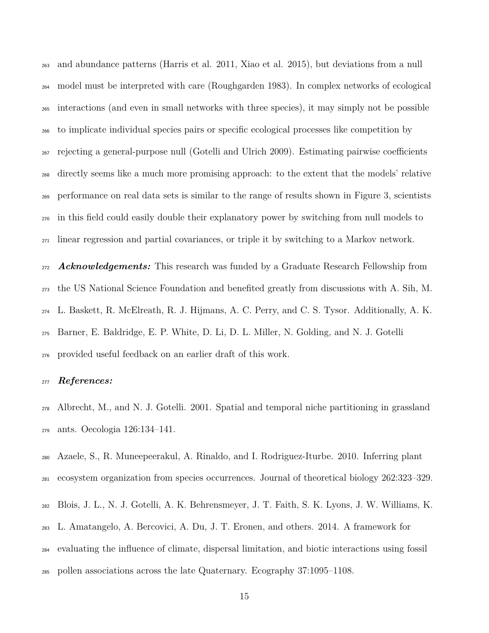and abundance patterns (Harris et al. 2011, Xiao et al. 2015), but deviations from a null model must be interpreted with care (Roughgarden 1983). In complex networks of ecological interactions (and even in small networks with three species), it may simply not be possible to implicate individual species pairs or specific ecological processes like competition by  $_{267}$  rejecting a general-purpose null (Gotelli and Ulrich 2009). Estimating pairwise coefficients directly seems like a much more promising approach: to the extent that the models' relative performance on real data sets is similar to the range of results shown in Figure 3, scientists in this field could easily double their explanatory power by switching from null models to linear regression and partial covariances, or triple it by switching to a Markov network.

 *Acknowledgements:* This research was funded by a Graduate Research Fellowship from the US National Science Foundation and benefited greatly from discussions with A. Sih, M. L. Baskett, R. McElreath, R. J. Hijmans, A. C. Perry, and C. S. Tysor. Additionally, A. K. Barner, E. Baldridge, E. P. White, D. Li, D. L. Miller, N. Golding, and N. J. Gotelli provided useful feedback on an earlier draft of this work.

### *References:*

 Albrecht, M., and N. J. Gotelli. 2001. Spatial and temporal niche partitioning in grassland ants. Oecologia 126:134–141.

Azaele, S., R. Muneepeerakul, A. Rinaldo, and I. Rodriguez-Iturbe. 2010. Inferring plant

ecosystem organization from species occurrences. Journal of theoretical biology 262:323–329.

- Blois, J. L., N. J. Gotelli, A. K. Behrensmeyer, J. T. Faith, S. K. Lyons, J. W. Williams, K.
- L. Amatangelo, A. Bercovici, A. Du, J. T. Eronen, and others. 2014. A framework for

evaluating the influence of climate, dispersal limitation, and biotic interactions using fossil

pollen associations across the late Quaternary. Ecography 37:1095–1108.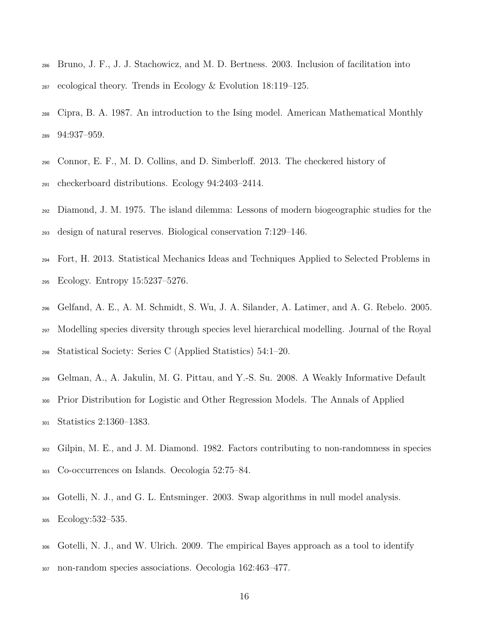- Bruno, J. F., J. J. Stachowicz, and M. D. Bertness. 2003. Inclusion of facilitation into ecological theory. Trends in Ecology & Evolution 18:119–125.
- Cipra, B. A. 1987. An introduction to the Ising model. American Mathematical Monthly 94:937–959.
- 290 Connor, E. F., M. D. Collins, and D. Simberloff. 2013. The checkered history of checkerboard distributions. Ecology 94:2403–2414.
- Diamond, J. M. 1975. The island dilemma: Lessons of modern biogeographic studies for the design of natural reserves. Biological conservation 7:129–146.
- Fort, H. 2013. Statistical Mechanics Ideas and Techniques Applied to Selected Problems in Ecology. Entropy 15:5237–5276.
- Gelfand, A. E., A. M. Schmidt, S. Wu, J. A. Silander, A. Latimer, and A. G. Rebelo. 2005. Modelling species diversity through species level hierarchical modelling. Journal of the Royal Statistical Society: Series C (Applied Statistics) 54:1–20.
- Gelman, A., A. Jakulin, M. G. Pittau, and Y.-S. Su. 2008. A Weakly Informative Default
- Prior Distribution for Logistic and Other Regression Models. The Annals of Applied Statistics 2:1360–1383.
- Gilpin, M. E., and J. M. Diamond. 1982. Factors contributing to non-randomness in species Co-occurrences on Islands. Oecologia 52:75–84.
- Gotelli, N. J., and G. L. Entsminger. 2003. Swap algorithms in null model analysis. Ecology:532–535.
- Gotelli, N. J., and W. Ulrich. 2009. The empirical Bayes approach as a tool to identify non-random species associations. Oecologia 162:463–477.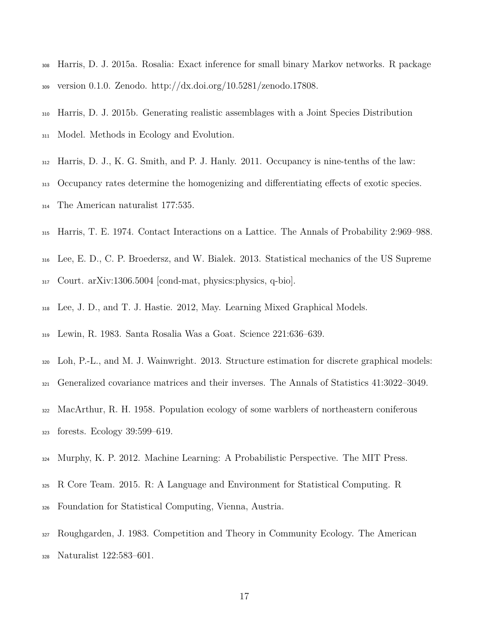- Harris, D. J. 2015a. Rosalia: Exact inference for small binary Markov networks. R package version 0.1.0. Zenodo. http://dx.doi.org/10.5281/zenodo.17808.
- Harris, D. J. 2015b. Generating realistic assemblages with a Joint Species Distribution Model. Methods in Ecology and Evolution.
- Harris, D. J., K. G. Smith, and P. J. Hanly. 2011. Occupancy is nine-tenths of the law:
- 313 Occupancy rates determine the homogenizing and differentiating effects of exotic species.
- The American naturalist 177:535.
- Harris, T. E. 1974. Contact Interactions on a Lattice. The Annals of Probability 2:969–988.
- Lee, E. D., C. P. Broedersz, and W. Bialek. 2013. Statistical mechanics of the US Supreme
- Court. arXiv:1306.5004 [cond-mat, physics:physics, q-bio].
- Lee, J. D., and T. J. Hastie. 2012, May. Learning Mixed Graphical Models.
- Lewin, R. 1983. Santa Rosalia Was a Goat. Science 221:636–639.
- Loh, P.-L., and M. J. Wainwright. 2013. Structure estimation for discrete graphical models:
- Generalized covariance matrices and their inverses. The Annals of Statistics 41:3022–3049.
- MacArthur, R. H. 1958. Population ecology of some warblers of northeastern coniferous forests. Ecology 39:599–619.
- Murphy, K. P. 2012. Machine Learning: A Probabilistic Perspective. The MIT Press.
- R Core Team. 2015. R: A Language and Environment for Statistical Computing. R
- Foundation for Statistical Computing, Vienna, Austria.
- Roughgarden, J. 1983. Competition and Theory in Community Ecology. The American Naturalist 122:583–601.